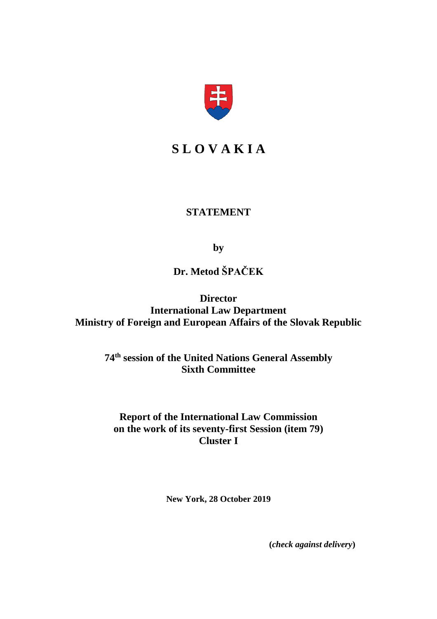

## **S L O V A K I A**

### **STATEMENT**

**by**

# **Dr. Metod ŠPAČEK**

**Director International Law Department Ministry of Foreign and European Affairs of the Slovak Republic**

> **74th session of the United Nations General Assembly Sixth Committee**

**Report of the International Law Commission on the work of its seventy-first Session (item 79) Cluster I**

**New York, 28 October 2019**

**(***check against delivery***)**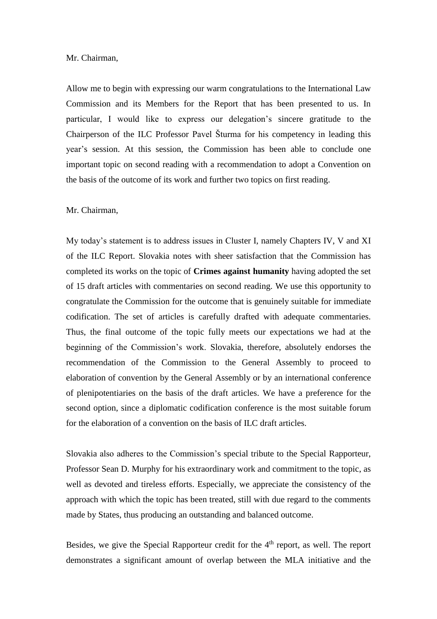#### Mr. Chairman,

Allow me to begin with expressing our warm congratulations to the International Law Commission and its Members for the Report that has been presented to us. In particular, I would like to express our delegation's sincere gratitude to the Chairperson of the ILC Professor Pavel Šturma for his competency in leading this year's session. At this session, the Commission has been able to conclude one important topic on second reading with a recommendation to adopt a Convention on the basis of the outcome of its work and further two topics on first reading.

#### Mr. Chairman,

My today's statement is to address issues in Cluster I, namely Chapters IV, V and XI of the ILC Report. Slovakia notes with sheer satisfaction that the Commission has completed its works on the topic of **Crimes against humanity** having adopted the set of 15 draft articles with commentaries on second reading. We use this opportunity to congratulate the Commission for the outcome that is genuinely suitable for immediate codification. The set of articles is carefully drafted with adequate commentaries. Thus, the final outcome of the topic fully meets our expectations we had at the beginning of the Commission's work. Slovakia, therefore, absolutely endorses the recommendation of the Commission to the General Assembly to proceed to elaboration of convention by the General Assembly or by an international conference of plenipotentiaries on the basis of the draft articles. We have a preference for the second option, since a diplomatic codification conference is the most suitable forum for the elaboration of a convention on the basis of ILC draft articles.

Slovakia also adheres to the Commission's special tribute to the Special Rapporteur, Professor Sean D. Murphy for his extraordinary work and commitment to the topic, as well as devoted and tireless efforts. Especially, we appreciate the consistency of the approach with which the topic has been treated, still with due regard to the comments made by States, thus producing an outstanding and balanced outcome.

Besides, we give the Special Rapporteur credit for the  $4<sup>th</sup>$  report, as well. The report demonstrates a significant amount of overlap between the MLA initiative and the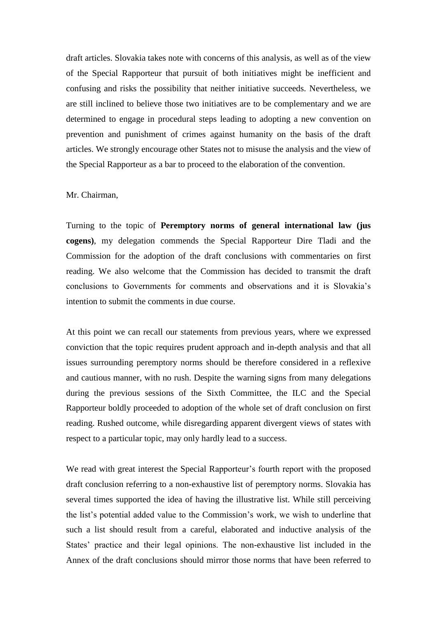draft articles. Slovakia takes note with concerns of this analysis, as well as of the view of the Special Rapporteur that pursuit of both initiatives might be inefficient and confusing and risks the possibility that neither initiative succeeds. Nevertheless, we are still inclined to believe those two initiatives are to be complementary and we are determined to engage in procedural steps leading to adopting a new convention on prevention and punishment of crimes against humanity on the basis of the draft articles. We strongly encourage other States not to misuse the analysis and the view of the Special Rapporteur as a bar to proceed to the elaboration of the convention.

#### Mr. Chairman,

Turning to the topic of **Peremptory norms of general international law (jus cogens)**, my delegation commends the Special Rapporteur Dire Tladi and the Commission for the adoption of the draft conclusions with commentaries on first reading. We also welcome that the Commission has decided to transmit the draft conclusions to Governments for comments and observations and it is Slovakia's intention to submit the comments in due course.

At this point we can recall our statements from previous years, where we expressed conviction that the topic requires prudent approach and in-depth analysis and that all issues surrounding peremptory norms should be therefore considered in a reflexive and cautious manner, with no rush. Despite the warning signs from many delegations during the previous sessions of the Sixth Committee, the ILC and the Special Rapporteur boldly proceeded to adoption of the whole set of draft conclusion on first reading. Rushed outcome, while disregarding apparent divergent views of states with respect to a particular topic, may only hardly lead to a success.

We read with great interest the Special Rapporteur's fourth report with the proposed draft conclusion referring to a non-exhaustive list of peremptory norms. Slovakia has several times supported the idea of having the illustrative list. While still perceiving the list's potential added value to the Commission's work, we wish to underline that such a list should result from a careful, elaborated and inductive analysis of the States' practice and their legal opinions. The non-exhaustive list included in the Annex of the draft conclusions should mirror those norms that have been referred to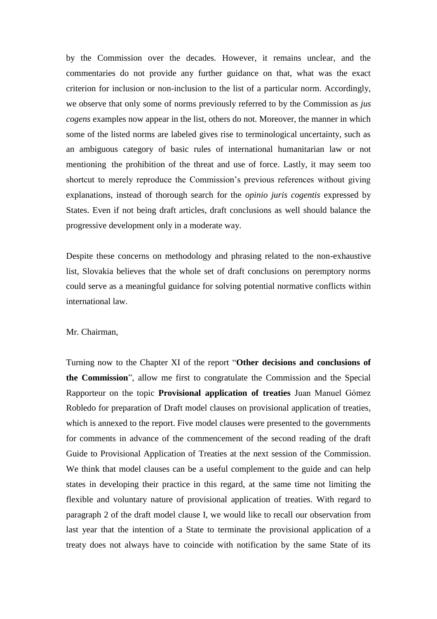by the Commission over the decades. However, it remains unclear, and the commentaries do not provide any further guidance on that, what was the exact criterion for inclusion or non-inclusion to the list of a particular norm. Accordingly, we observe that only some of norms previously referred to by the Commission as *jus cogens* examples now appear in the list, others do not. Moreover, the manner in which some of the listed norms are labeled gives rise to terminological uncertainty, such as an ambiguous category of basic rules of international humanitarian law or not mentioning the prohibition of the threat and use of force. Lastly, it may seem too shortcut to merely reproduce the Commission's previous references without giving explanations, instead of thorough search for the *opinio juris cogentis* expressed by States. Even if not being draft articles, draft conclusions as well should balance the progressive development only in a moderate way.

Despite these concerns on methodology and phrasing related to the non-exhaustive list, Slovakia believes that the whole set of draft conclusions on peremptory norms could serve as a meaningful guidance for solving potential normative conflicts within international law.

#### Mr. Chairman,

Turning now to the Chapter XI of the report "**Other decisions and conclusions of the Commission**", allow me first to congratulate the Commission and the Special Rapporteur on the topic **Provisional application of treaties** Juan Manuel Gómez Robledo for preparation of Draft model clauses on provisional application of treaties, which is annexed to the report. Five model clauses were presented to the governments for comments in advance of the commencement of the second reading of the draft Guide to Provisional Application of Treaties at the next session of the Commission. We think that model clauses can be a useful complement to the guide and can help states in developing their practice in this regard, at the same time not limiting the flexible and voluntary nature of provisional application of treaties. With regard to paragraph 2 of the draft model clause I, we would like to recall our observation from last year that the intention of a State to terminate the provisional application of a treaty does not always have to coincide with notification by the same State of its